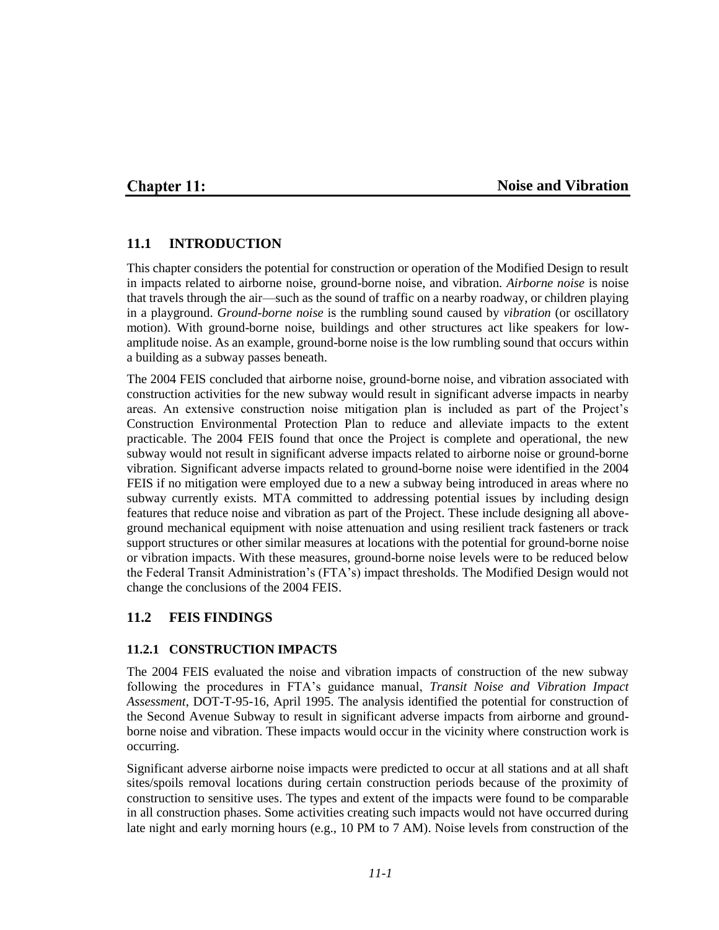## **Chapter 11:**

### **Noise and Vibration**

### **11.1 INTRODUCTION**

This chapter considers the potential for construction or operation of the Modified Design to result in impacts related to airborne noise, ground-borne noise, and vibration. *Airborne noise* is noise that travels through the air—such as the sound of traffic on a nearby roadway, or children playing in a playground. *Ground-borne noise* is the rumbling sound caused by *vibration* (or oscillatory motion). With ground-borne noise, buildings and other structures act like speakers for lowamplitude noise. As an example, ground-borne noise is the low rumbling sound that occurs within a building as a subway passes beneath.

The 2004 FEIS concluded that airborne noise, ground-borne noise, and vibration associated with construction activities for the new subway would result in significant adverse impacts in nearby areas. An extensive construction noise mitigation plan is included as part of the Project's Construction Environmental Protection Plan to reduce and alleviate impacts to the extent practicable. The 2004 FEIS found that once the Project is complete and operational, the new subway would not result in significant adverse impacts related to airborne noise or ground-borne vibration. Significant adverse impacts related to ground-borne noise were identified in the 2004 FEIS if no mitigation were employed due to a new a subway being introduced in areas where no subway currently exists. MTA committed to addressing potential issues by including design features that reduce noise and vibration as part of the Project. These include designing all aboveground mechanical equipment with noise attenuation and using resilient track fasteners or track support structures or other similar measures at locations with the potential for ground-borne noise or vibration impacts. With these measures, ground-borne noise levels were to be reduced below the Federal Transit Administration's (FTA's) impact thresholds. The Modified Design would not change the conclusions of the 2004 FEIS.

### **11.2 FEIS FINDINGS**

### **11.2.1 CONSTRUCTION IMPACTS**

The 2004 FEIS evaluated the noise and vibration impacts of construction of the new subway following the procedures in FTA's guidance manual, *Transit Noise and Vibration Impact Assessment*, DOT-T-95-16, April 1995. The analysis identified the potential for construction of the Second Avenue Subway to result in significant adverse impacts from airborne and groundborne noise and vibration. These impacts would occur in the vicinity where construction work is occurring.

Significant adverse airborne noise impacts were predicted to occur at all stations and at all shaft sites/spoils removal locations during certain construction periods because of the proximity of construction to sensitive uses. The types and extent of the impacts were found to be comparable in all construction phases. Some activities creating such impacts would not have occurred during late night and early morning hours (e.g., 10 PM to 7 AM). Noise levels from construction of the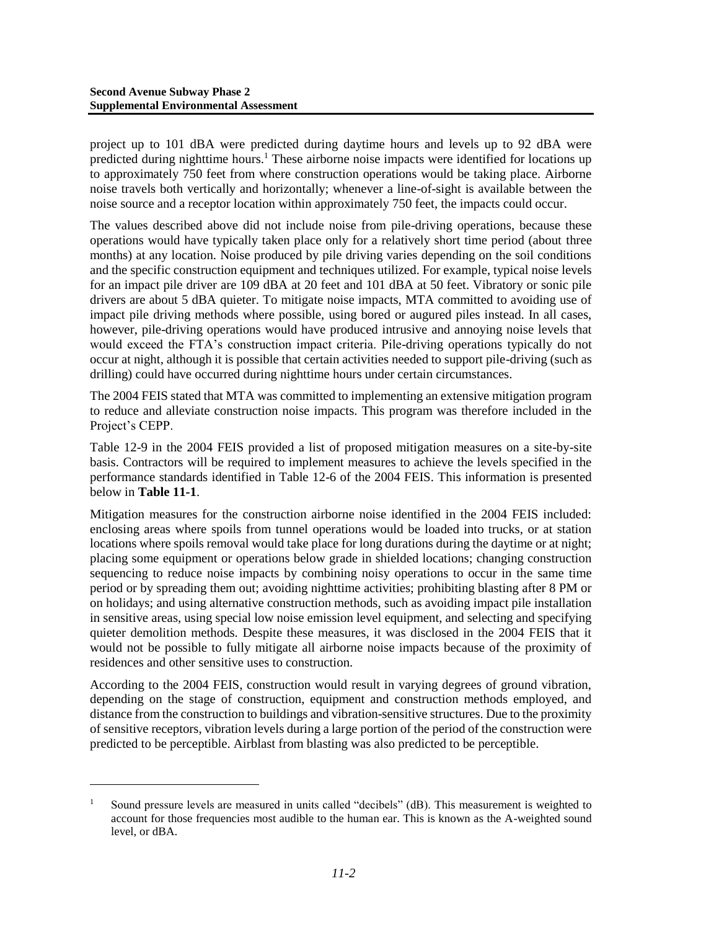l

project up to 101 dBA were predicted during daytime hours and levels up to 92 dBA were predicted during nighttime hours.<sup>1</sup> These airborne noise impacts were identified for locations up to approximately 750 feet from where construction operations would be taking place. Airborne noise travels both vertically and horizontally; whenever a line-of-sight is available between the noise source and a receptor location within approximately 750 feet, the impacts could occur.

The values described above did not include noise from pile-driving operations, because these operations would have typically taken place only for a relatively short time period (about three months) at any location. Noise produced by pile driving varies depending on the soil conditions and the specific construction equipment and techniques utilized. For example, typical noise levels for an impact pile driver are 109 dBA at 20 feet and 101 dBA at 50 feet. Vibratory or sonic pile drivers are about 5 dBA quieter. To mitigate noise impacts, MTA committed to avoiding use of impact pile driving methods where possible, using bored or augured piles instead. In all cases, however, pile-driving operations would have produced intrusive and annoying noise levels that would exceed the FTA's construction impact criteria. Pile-driving operations typically do not occur at night, although it is possible that certain activities needed to support pile-driving (such as drilling) could have occurred during nighttime hours under certain circumstances.

The 2004 FEIS stated that MTA was committed to implementing an extensive mitigation program to reduce and alleviate construction noise impacts. This program was therefore included in the Project's CEPP.

Table 12-9 in the 2004 FEIS provided a list of proposed mitigation measures on a site-by-site basis. Contractors will be required to implement measures to achieve the levels specified in the performance standards identified in Table 12-6 of the 2004 FEIS. This information is presented below in **Table 11-1**.

Mitigation measures for the construction airborne noise identified in the 2004 FEIS included: enclosing areas where spoils from tunnel operations would be loaded into trucks, or at station locations where spoils removal would take place for long durations during the daytime or at night; placing some equipment or operations below grade in shielded locations; changing construction sequencing to reduce noise impacts by combining noisy operations to occur in the same time period or by spreading them out; avoiding nighttime activities; prohibiting blasting after 8 PM or on holidays; and using alternative construction methods, such as avoiding impact pile installation in sensitive areas, using special low noise emission level equipment, and selecting and specifying quieter demolition methods. Despite these measures, it was disclosed in the 2004 FEIS that it would not be possible to fully mitigate all airborne noise impacts because of the proximity of residences and other sensitive uses to construction.

According to the 2004 FEIS, construction would result in varying degrees of ground vibration, depending on the stage of construction, equipment and construction methods employed, and distance from the construction to buildings and vibration-sensitive structures. Due to the proximity of sensitive receptors, vibration levels during a large portion of the period of the construction were predicted to be perceptible. Airblast from blasting was also predicted to be perceptible.

<sup>&</sup>lt;sup>1</sup> Sound pressure levels are measured in units called "decibels" (dB). This measurement is weighted to account for those frequencies most audible to the human ear. This is known as the A-weighted sound level, or dBA.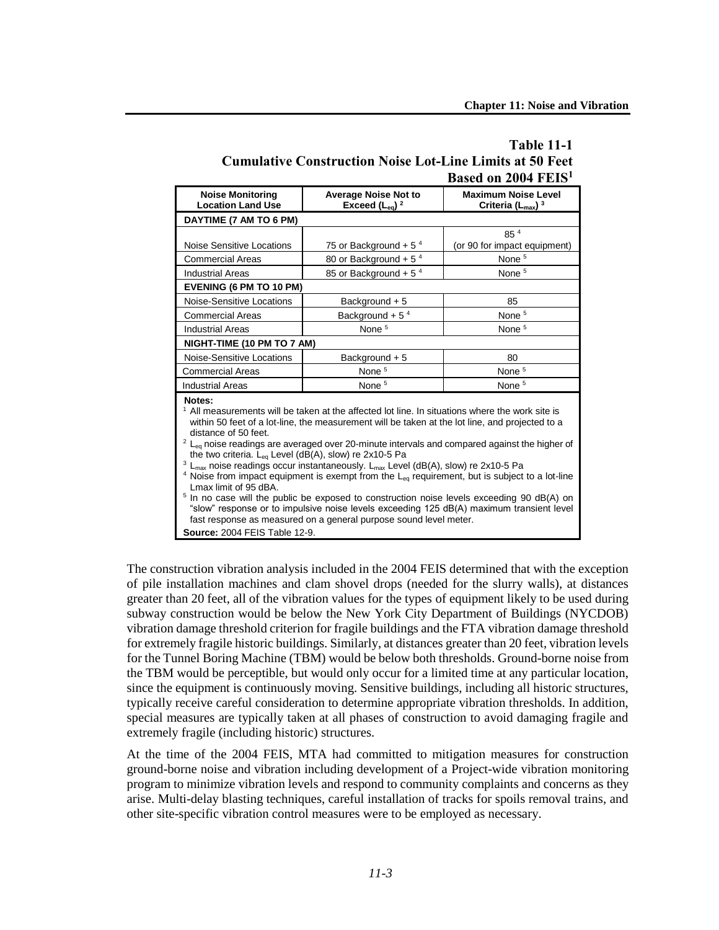| <b>Table 11-1</b>                                               |  |
|-----------------------------------------------------------------|--|
| <b>Cumulative Construction Noise Lot-Line Limits at 50 Feet</b> |  |
| Based on 2004 FEIS <sup>1</sup>                                 |  |

| <b>Noise Monitoring</b><br><b>Location Land Use</b>                                                                                                                                                                                                                                                                                                                                                                                                                                                                                                                                                                                                                                                                                                                                                                                                                                                                                                                                  | <b>Average Noise Not to</b><br>Exceed $(L_{eq})^2$ | <b>Maximum Noise Level</b><br>Criteria $(L_{\text{max}})^3$ |  |  |
|--------------------------------------------------------------------------------------------------------------------------------------------------------------------------------------------------------------------------------------------------------------------------------------------------------------------------------------------------------------------------------------------------------------------------------------------------------------------------------------------------------------------------------------------------------------------------------------------------------------------------------------------------------------------------------------------------------------------------------------------------------------------------------------------------------------------------------------------------------------------------------------------------------------------------------------------------------------------------------------|----------------------------------------------------|-------------------------------------------------------------|--|--|
| DAYTIME (7 AM TO 6 PM)                                                                                                                                                                                                                                                                                                                                                                                                                                                                                                                                                                                                                                                                                                                                                                                                                                                                                                                                                               |                                                    |                                                             |  |  |
|                                                                                                                                                                                                                                                                                                                                                                                                                                                                                                                                                                                                                                                                                                                                                                                                                                                                                                                                                                                      |                                                    | 854                                                         |  |  |
| Noise Sensitive Locations                                                                                                                                                                                                                                                                                                                                                                                                                                                                                                                                                                                                                                                                                                                                                                                                                                                                                                                                                            | 75 or Background + 5 $4$                           | (or 90 for impact equipment)                                |  |  |
| Commercial Areas                                                                                                                                                                                                                                                                                                                                                                                                                                                                                                                                                                                                                                                                                                                                                                                                                                                                                                                                                                     | 80 or Background + $54$                            | None <sup>5</sup>                                           |  |  |
| <b>Industrial Areas</b>                                                                                                                                                                                                                                                                                                                                                                                                                                                                                                                                                                                                                                                                                                                                                                                                                                                                                                                                                              | 85 or Background + 5 $4$                           | None <sup>5</sup>                                           |  |  |
| <b>EVENING (6 PM TO 10 PM)</b>                                                                                                                                                                                                                                                                                                                                                                                                                                                                                                                                                                                                                                                                                                                                                                                                                                                                                                                                                       |                                                    |                                                             |  |  |
| Noise-Sensitive Locations                                                                                                                                                                                                                                                                                                                                                                                                                                                                                                                                                                                                                                                                                                                                                                                                                                                                                                                                                            | Background + 5                                     | 85                                                          |  |  |
| <b>Commercial Areas</b>                                                                                                                                                                                                                                                                                                                                                                                                                                                                                                                                                                                                                                                                                                                                                                                                                                                                                                                                                              | Background + $54$                                  | None <sup>5</sup>                                           |  |  |
| <b>Industrial Areas</b>                                                                                                                                                                                                                                                                                                                                                                                                                                                                                                                                                                                                                                                                                                                                                                                                                                                                                                                                                              | None <sup>5</sup>                                  | None <sup>5</sup>                                           |  |  |
| NIGHT-TIME (10 PM TO 7 AM)                                                                                                                                                                                                                                                                                                                                                                                                                                                                                                                                                                                                                                                                                                                                                                                                                                                                                                                                                           |                                                    |                                                             |  |  |
| Noise-Sensitive Locations                                                                                                                                                                                                                                                                                                                                                                                                                                                                                                                                                                                                                                                                                                                                                                                                                                                                                                                                                            | Background + 5                                     | 80                                                          |  |  |
| <b>Commercial Areas</b>                                                                                                                                                                                                                                                                                                                                                                                                                                                                                                                                                                                                                                                                                                                                                                                                                                                                                                                                                              | None <sup>5</sup>                                  | None <sup>5</sup>                                           |  |  |
| <b>Industrial Areas</b>                                                                                                                                                                                                                                                                                                                                                                                                                                                                                                                                                                                                                                                                                                                                                                                                                                                                                                                                                              | None <sup>5</sup>                                  | None <sup>5</sup>                                           |  |  |
| Notes:<br>$1$ All measurements will be taken at the affected lot line. In situations where the work site is<br>within 50 feet of a lot-line, the measurement will be taken at the lot line, and projected to a<br>distance of 50 feet.<br>$2 L_{eq}$ noise readings are averaged over 20-minute intervals and compared against the higher of<br>the two criteria. $L_{eq}$ Level (dB(A), slow) re 2x10-5 Pa<br>$L_{\text{max}}$ noise readings occur instantaneously. $L_{\text{max}}$ Level (dB(A), slow) re 2x10-5 Pa<br><sup>4</sup> Noise from impact equipment is exempt from the $L_{eq}$ requirement, but is subject to a lot-line<br>Lmax limit of 95 dBA.<br><sup>5</sup> In no case will the public be exposed to construction noise levels exceeding 90 dB(A) on<br>"slow" response or to impulsive noise levels exceeding 125 dB(A) maximum transient level<br>fast response as measured on a general purpose sound level meter.<br><b>Source: 2004 FEIS Table 12-9.</b> |                                                    |                                                             |  |  |

The construction vibration analysis included in the 2004 FEIS determined that with the exception of pile installation machines and clam shovel drops (needed for the slurry walls), at distances greater than 20 feet, all of the vibration values for the types of equipment likely to be used during subway construction would be below the New York City Department of Buildings (NYCDOB) vibration damage threshold criterion for fragile buildings and the FTA vibration damage threshold for extremely fragile historic buildings. Similarly, at distances greater than 20 feet, vibration levels for the Tunnel Boring Machine (TBM) would be below both thresholds. Ground-borne noise from the TBM would be perceptible, but would only occur for a limited time at any particular location, since the equipment is continuously moving. Sensitive buildings, including all historic structures, typically receive careful consideration to determine appropriate vibration thresholds. In addition, special measures are typically taken at all phases of construction to avoid damaging fragile and extremely fragile (including historic) structures.

At the time of the 2004 FEIS, MTA had committed to mitigation measures for construction ground-borne noise and vibration including development of a Project-wide vibration monitoring program to minimize vibration levels and respond to community complaints and concerns as they arise. Multi-delay blasting techniques, careful installation of tracks for spoils removal trains, and other site-specific vibration control measures were to be employed as necessary.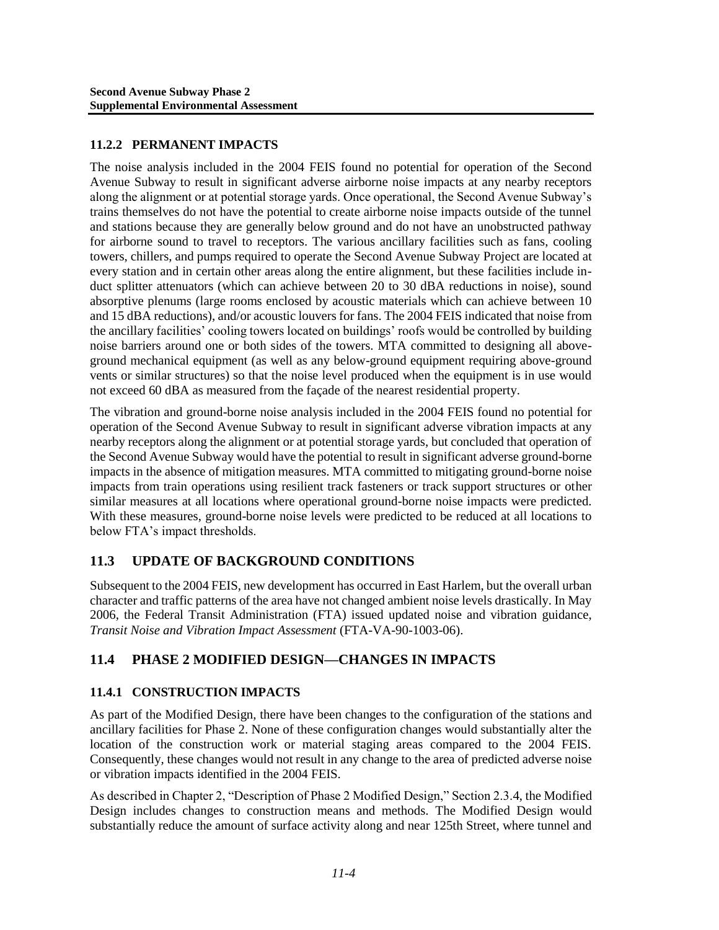## **11.2.2 PERMANENT IMPACTS**

The noise analysis included in the 2004 FEIS found no potential for operation of the Second Avenue Subway to result in significant adverse airborne noise impacts at any nearby receptors along the alignment or at potential storage yards. Once operational, the Second Avenue Subway's trains themselves do not have the potential to create airborne noise impacts outside of the tunnel and stations because they are generally below ground and do not have an unobstructed pathway for airborne sound to travel to receptors. The various ancillary facilities such as fans, cooling towers, chillers, and pumps required to operate the Second Avenue Subway Project are located at every station and in certain other areas along the entire alignment, but these facilities include induct splitter attenuators (which can achieve between 20 to 30 dBA reductions in noise), sound absorptive plenums (large rooms enclosed by acoustic materials which can achieve between 10 and 15 dBA reductions), and/or acoustic louvers for fans. The 2004 FEIS indicated that noise from the ancillary facilities' cooling towers located on buildings' roofs would be controlled by building noise barriers around one or both sides of the towers. MTA committed to designing all aboveground mechanical equipment (as well as any below-ground equipment requiring above-ground vents or similar structures) so that the noise level produced when the equipment is in use would not exceed 60 dBA as measured from the façade of the nearest residential property.

The vibration and ground-borne noise analysis included in the 2004 FEIS found no potential for operation of the Second Avenue Subway to result in significant adverse vibration impacts at any nearby receptors along the alignment or at potential storage yards, but concluded that operation of the Second Avenue Subway would have the potential to result in significant adverse ground-borne impacts in the absence of mitigation measures. MTA committed to mitigating ground-borne noise impacts from train operations using resilient track fasteners or track support structures or other similar measures at all locations where operational ground-borne noise impacts were predicted. With these measures, ground-borne noise levels were predicted to be reduced at all locations to below FTA's impact thresholds.

## **11.3 UPDATE OF BACKGROUND CONDITIONS**

Subsequent to the 2004 FEIS, new development has occurred in East Harlem, but the overall urban character and traffic patterns of the area have not changed ambient noise levels drastically. In May 2006, the Federal Transit Administration (FTA) issued updated noise and vibration guidance, *Transit Noise and Vibration Impact Assessment* (FTA-VA-90-1003-06).

## **11.4 PHASE 2 MODIFIED DESIGN—CHANGES IN IMPACTS**

## **11.4.1 CONSTRUCTION IMPACTS**

As part of the Modified Design, there have been changes to the configuration of the stations and ancillary facilities for Phase 2. None of these configuration changes would substantially alter the location of the construction work or material staging areas compared to the 2004 FEIS. Consequently, these changes would not result in any change to the area of predicted adverse noise or vibration impacts identified in the 2004 FEIS.

As described in Chapter 2, "Description of Phase 2 Modified Design," Section 2.3.4, the Modified Design includes changes to construction means and methods. The Modified Design would substantially reduce the amount of surface activity along and near 125th Street, where tunnel and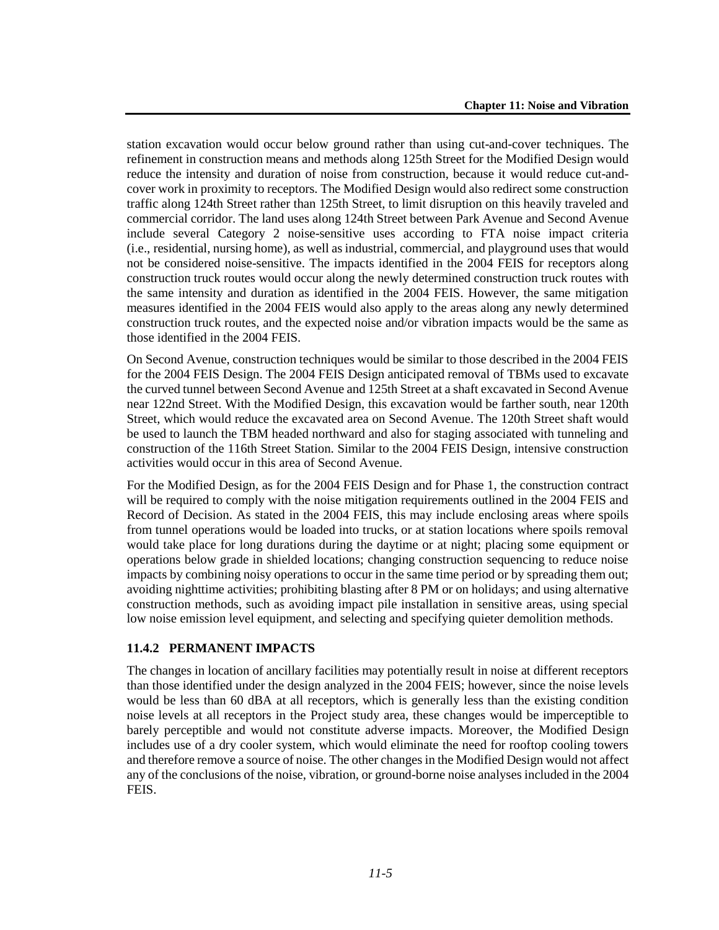station excavation would occur below ground rather than using cut-and-cover techniques. The refinement in construction means and methods along 125th Street for the Modified Design would reduce the intensity and duration of noise from construction, because it would reduce cut-andcover work in proximity to receptors. The Modified Design would also redirect some construction traffic along 124th Street rather than 125th Street, to limit disruption on this heavily traveled and commercial corridor. The land uses along 124th Street between Park Avenue and Second Avenue include several Category 2 noise-sensitive uses according to FTA noise impact criteria (i.e., residential, nursing home), as well as industrial, commercial, and playground uses that would not be considered noise-sensitive. The impacts identified in the 2004 FEIS for receptors along construction truck routes would occur along the newly determined construction truck routes with the same intensity and duration as identified in the 2004 FEIS. However, the same mitigation measures identified in the 2004 FEIS would also apply to the areas along any newly determined construction truck routes, and the expected noise and/or vibration impacts would be the same as those identified in the 2004 FEIS.

On Second Avenue, construction techniques would be similar to those described in the 2004 FEIS for the 2004 FEIS Design. The 2004 FEIS Design anticipated removal of TBMs used to excavate the curved tunnel between Second Avenue and 125th Street at a shaft excavated in Second Avenue near 122nd Street. With the Modified Design, this excavation would be farther south, near 120th Street, which would reduce the excavated area on Second Avenue. The 120th Street shaft would be used to launch the TBM headed northward and also for staging associated with tunneling and construction of the 116th Street Station. Similar to the 2004 FEIS Design, intensive construction activities would occur in this area of Second Avenue.

For the Modified Design, as for the 2004 FEIS Design and for Phase 1, the construction contract will be required to comply with the noise mitigation requirements outlined in the 2004 FEIS and Record of Decision. As stated in the 2004 FEIS, this may include enclosing areas where spoils from tunnel operations would be loaded into trucks, or at station locations where spoils removal would take place for long durations during the daytime or at night; placing some equipment or operations below grade in shielded locations; changing construction sequencing to reduce noise impacts by combining noisy operations to occur in the same time period or by spreading them out; avoiding nighttime activities; prohibiting blasting after 8 PM or on holidays; and using alternative construction methods, such as avoiding impact pile installation in sensitive areas, using special low noise emission level equipment, and selecting and specifying quieter demolition methods.

#### **11.4.2 PERMANENT IMPACTS**

The changes in location of ancillary facilities may potentially result in noise at different receptors than those identified under the design analyzed in the 2004 FEIS; however, since the noise levels would be less than 60 dBA at all receptors, which is generally less than the existing condition noise levels at all receptors in the Project study area, these changes would be imperceptible to barely perceptible and would not constitute adverse impacts. Moreover, the Modified Design includes use of a dry cooler system, which would eliminate the need for rooftop cooling towers and therefore remove a source of noise. The other changes in the Modified Design would not affect any of the conclusions of the noise, vibration, or ground-borne noise analyses included in the 2004 FEIS.